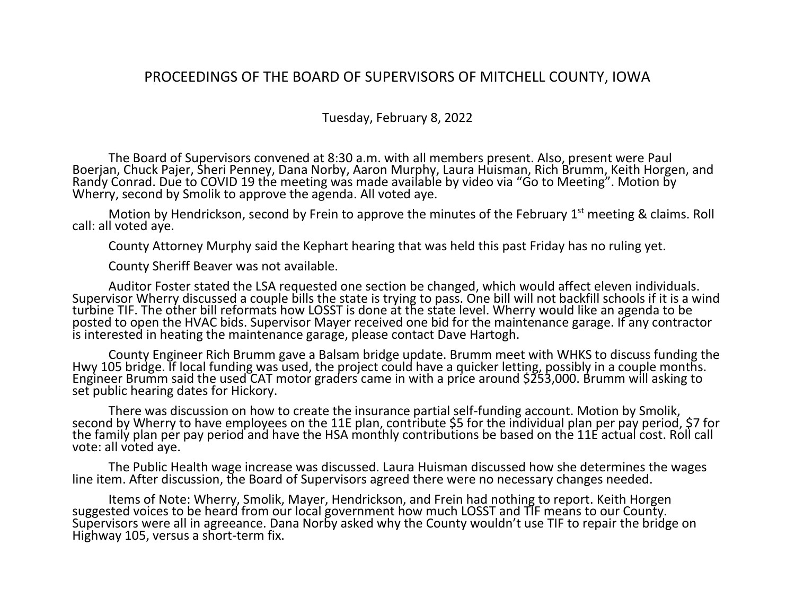## PROCEEDINGS OF THE BOARD OF SUPERVISORS OF MITCHELL COUNTY, IOWA

Tuesday, February 8, 2022

The Board of Supervisors convened at 8:30 a.m. with all members present. Also, present were Paul Boerjan, Chuck Pajer, Sheri Penney, Dana Norby, Aaron Murphy, Laura Huisman, Rich Brumm, Keith Horgen, and Randy Conrad. Due to COVID 19 the meeting was made available by video via "Go to Meeting". Motion by Wherry, second by Smolik to approve the agenda. All voted aye.

Motion by Hendrickson, second by Frein to approve the minutes of the February  $1<sup>st</sup>$  meeting & claims. Roll call: all voted aye.

County Attorney Murphy said the Kephart hearing that was held this past Friday has no ruling yet.

County Sheriff Beaver was not available.

Auditor Foster stated the LSA requested one section be changed, which would affect eleven individuals. Supervisor Wherry discussed a couple bills the state is trying to pass. One bill will not backfill schools if it is a wind turbine TIF. The other bill reformats how LOSST is done at the state level. Wherry would like an agenda to be posted to open the HVAC bids. Supervisor Mayer received one bid for the maintenance garage. If any contractor is interested in heating the maintenance garage, please contact Dave Hartogh.

County Engineer Rich Brumm gave a Balsam bridge update. Brumm meet with WHKS to discuss funding the Hwy 105 bridge. If local funding was used, the project could have a quicker letting, possibly in a couple months. Engineer Brumm said the used CAT motor graders came in with a price around \$253,000. Brumm will asking to set public hearing dates for Hickory.

There was discussion on how to create the insurance partial self-funding account. Motion by Smolik, second by Wherry to have employees on the 11E plan, contribute \$5 for the individual plan per pay period, \$7 for the family plan per pay period and have the HSA monthly contributions be based on the 11E actual cost. Roll call vote: all voted aye.

The Public Health wage increase was discussed. Laura Huisman discussed how she determines the wages line item. After discussion, the Board of Supervisors agreed there were no necessary changes needed.

Items of Note: Wherry, Smolik, Mayer, Hendrickson, and Frein had nothing to report. Keith Horgen suggested voices to be heard from our local government how much LOSST and TIF means to our County. Supervisors were all in agreeance. Dana Norby asked why the County wouldn't use TIF to repair the bridge on Highway 105, versus a short-term fix.